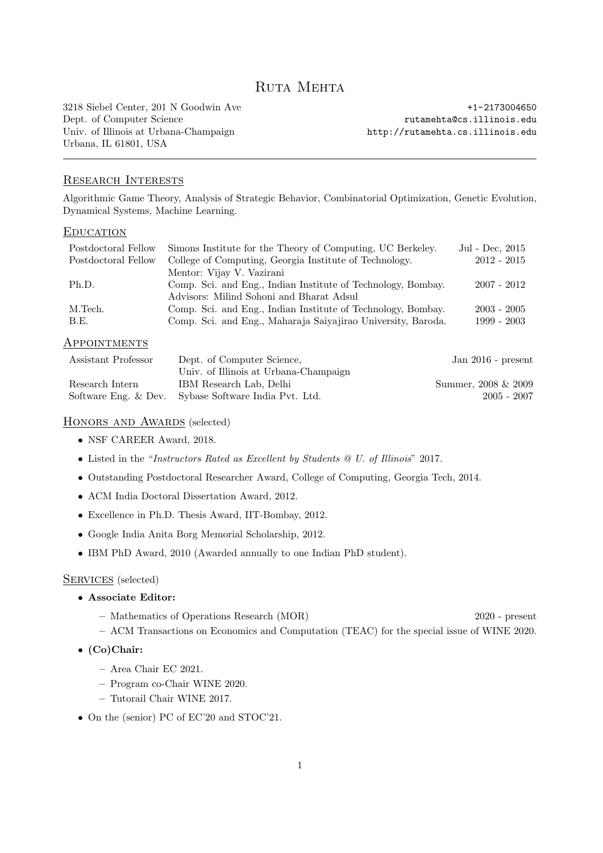# Ruta Mehta

3218 Siebel Center, 201 N Goodwin Ave +1-2173004650 Dept. of Computer Science rutamehta@cs.illinois.edu Univ. of Illinois at Urbana-Champaign http://rutamehta.cs.illinois.edu Urbana, IL 61801, USA

## Research Interests

Algorithmic Game Theory, Analysis of Strategic Behavior, Combinatorial Optimization, Genetic Evolution, Dynamical Systems, Machine Learning.

#### **EDUCATION**

| Postdoctoral Fellow | Simons Institute for the Theory of Computing, UC Berkeley.   | Jul - Dec, 2015 |
|---------------------|--------------------------------------------------------------|-----------------|
| Postdoctoral Fellow | College of Computing, Georgia Institute of Technology.       | $2012 - 2015$   |
|                     | Mentor: Vijay V. Vazirani                                    |                 |
| Ph.D.               | Comp. Sci. and Eng., Indian Institute of Technology, Bombay. | $2007 - 2012$   |
|                     | Advisors: Milind Sohoni and Bharat Adsul                     |                 |
| M.Tech.             | Comp. Sci. and Eng., Indian Institute of Technology, Bombay. | $2003 - 2005$   |
| B.E.                | Comp. Sci. and Eng., Maharaja Saiyajirao University, Baroda. | $1999 - 2003$   |
|                     |                                                              |                 |

#### Appointments

| Assistant Professor | Dept. of Computer Science.                           | Jan $2016$ - present |
|---------------------|------------------------------------------------------|----------------------|
|                     | Univ. of Illinois at Urbana-Champaign                |                      |
| Research Intern     | IBM Research Lab, Delhi                              | Summer, 2008 & 2009  |
|                     | Software Eng. & Dev. Sybase Software India Pvt. Ltd. | $2005 - 2007$        |

# HONORS AND AWARDS (selected)

- NSF CAREER Award, 2018.
- Listed in the "Instructors Rated as Excellent by Students @ U. of Illinois" 2017.
- Outstanding Postdoctoral Researcher Award, College of Computing, Georgia Tech, 2014.
- ACM India Doctoral Dissertation Award, 2012.
- Excellence in Ph.D. Thesis Award, IIT-Bombay, 2012.
- Google India Anita Borg Memorial Scholarship, 2012.
- IBM PhD Award, 2010 (Awarded annually to one Indian PhD student).

#### SERVICES (selected)

- Associate Editor:
	- Mathematics of Operations Research (MOR) 2020 present
	- ACM Transactions on Economics and Computation (TEAC) for the special issue of WINE 2020.
- (Co)Chair:
	- Area Chair EC 2021.
	- Program co-Chair WINE 2020.
	- Tutorail Chair WINE 2017.
- On the (senior) PC of EC'20 and STOC'21.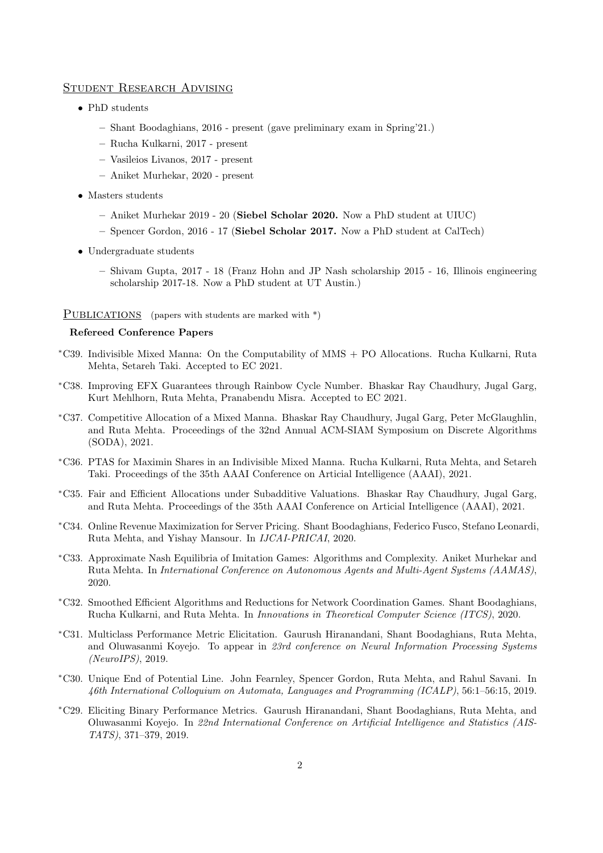#### Student Research Advising

- PhD students
	- Shant Boodaghians, 2016 present (gave preliminary exam in Spring'21.)
	- Rucha Kulkarni, 2017 present
	- Vasileios Livanos, 2017 present
	- Aniket Murhekar, 2020 present
- Masters students
	- Aniket Murhekar 2019 20 (Siebel Scholar 2020. Now a PhD student at UIUC)
	- Spencer Gordon, 2016 17 (Siebel Scholar 2017. Now a PhD student at CalTech)
- Undergraduate students
	- Shivam Gupta, 2017 18 (Franz Hohn and JP Nash scholarship 2015 16, Illinois engineering scholarship 2017-18. Now a PhD student at UT Austin.)

#### PUBLICATIONS (papers with students are marked with \*)

## Refereed Conference Papers

- <sup>∗</sup>C39. Indivisible Mixed Manna: On the Computability of MMS + PO Allocations. Rucha Kulkarni, Ruta Mehta, Setareh Taki. Accepted to EC 2021.
- <sup>∗</sup>C38. Improving EFX Guarantees through Rainbow Cycle Number. Bhaskar Ray Chaudhury, Jugal Garg, Kurt Mehlhorn, Ruta Mehta, Pranabendu Misra. Accepted to EC 2021.
- <sup>∗</sup>C37. Competitive Allocation of a Mixed Manna. Bhaskar Ray Chaudhury, Jugal Garg, Peter McGlaughlin, and Ruta Mehta. Proceedings of the 32nd Annual ACM-SIAM Symposium on Discrete Algorithms (SODA), 2021.
- <sup>∗</sup>C36. PTAS for Maximin Shares in an Indivisible Mixed Manna. Rucha Kulkarni, Ruta Mehta, and Setareh Taki. Proceedings of the 35th AAAI Conference on Articial Intelligence (AAAI), 2021.
- <sup>∗</sup>C35. Fair and Efficient Allocations under Subadditive Valuations. Bhaskar Ray Chaudhury, Jugal Garg, and Ruta Mehta. Proceedings of the 35th AAAI Conference on Articial Intelligence (AAAI), 2021.
- <sup>∗</sup>C34. Online Revenue Maximization for Server Pricing. Shant Boodaghians, Federico Fusco, Stefano Leonardi, Ruta Mehta, and Yishay Mansour. In IJCAI-PRICAI, 2020.
- <sup>∗</sup>C33. Approximate Nash Equilibria of Imitation Games: Algorithms and Complexity. Aniket Murhekar and Ruta Mehta. In International Conference on Autonomous Agents and Multi-Agent Systems (AAMAS), 2020.
- <sup>∗</sup>C32. Smoothed Efficient Algorithms and Reductions for Network Coordination Games. Shant Boodaghians, Rucha Kulkarni, and Ruta Mehta. In Innovations in Theoretical Computer Science (ITCS), 2020.
- <sup>∗</sup>C31. Multiclass Performance Metric Elicitation. Gaurush Hiranandani, Shant Boodaghians, Ruta Mehta, and Oluwasanmi Koyejo. To appear in 23rd conference on Neural Information Processing Systems (NeuroIPS), 2019.
- <sup>∗</sup>C30. Unique End of Potential Line. John Fearnley, Spencer Gordon, Ruta Mehta, and Rahul Savani. In 46th International Colloquium on Automata, Languages and Programming (ICALP), 56:1–56:15, 2019.
- <sup>∗</sup>C29. Eliciting Binary Performance Metrics. Gaurush Hiranandani, Shant Boodaghians, Ruta Mehta, and Oluwasanmi Koyejo. In 22nd International Conference on Artificial Intelligence and Statistics (AIS-TATS), 371–379, 2019.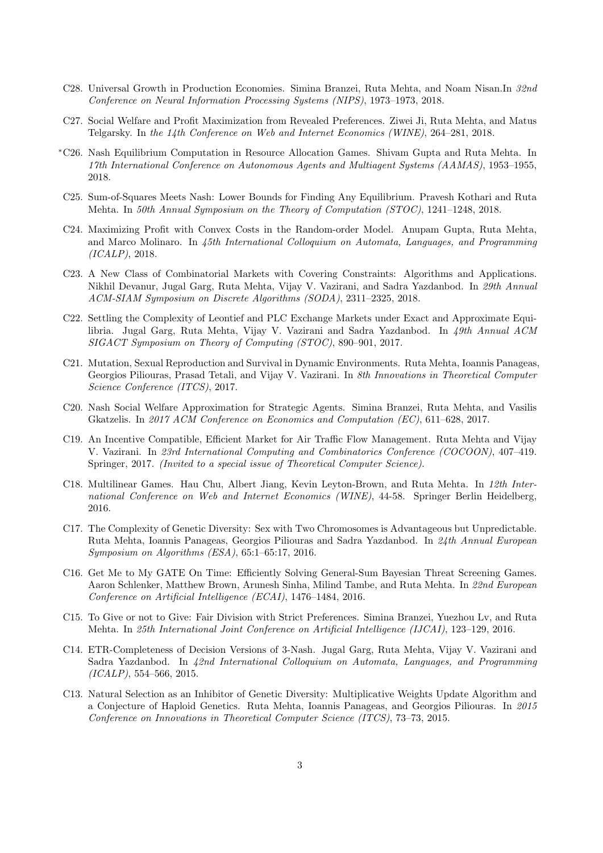- C28. Universal Growth in Production Economies. Simina Branzei, Ruta Mehta, and Noam Nisan.In 32nd Conference on Neural Information Processing Systems (NIPS), 1973–1973, 2018.
- C27. Social Welfare and Profit Maximization from Revealed Preferences. Ziwei Ji, Ruta Mehta, and Matus Telgarsky. In the 14th Conference on Web and Internet Economics (WINE), 264–281, 2018.
- <sup>∗</sup>C26. Nash Equilibrium Computation in Resource Allocation Games. Shivam Gupta and Ruta Mehta. In 17th International Conference on Autonomous Agents and Multiagent Systems (AAMAS), 1953–1955, 2018.
- C25. Sum-of-Squares Meets Nash: Lower Bounds for Finding Any Equilibrium. Pravesh Kothari and Ruta Mehta. In 50th Annual Symposium on the Theory of Computation (STOC), 1241–1248, 2018.
- C24. Maximizing Profit with Convex Costs in the Random-order Model. Anupam Gupta, Ruta Mehta, and Marco Molinaro. In 45th International Colloquium on Automata, Languages, and Programming (ICALP), 2018.
- C23. A New Class of Combinatorial Markets with Covering Constraints: Algorithms and Applications. Nikhil Devanur, Jugal Garg, Ruta Mehta, Vijay V. Vazirani, and Sadra Yazdanbod. In 29th Annual ACM-SIAM Symposium on Discrete Algorithms (SODA), 2311–2325, 2018.
- C22. Settling the Complexity of Leontief and PLC Exchange Markets under Exact and Approximate Equilibria. Jugal Garg, Ruta Mehta, Vijay V. Vazirani and Sadra Yazdanbod. In 49th Annual ACM SIGACT Symposium on Theory of Computing (STOC), 890–901, 2017.
- C21. Mutation, Sexual Reproduction and Survival in Dynamic Environments. Ruta Mehta, Ioannis Panageas, Georgios Piliouras, Prasad Tetali, and Vijay V. Vazirani. In 8th Innovations in Theoretical Computer Science Conference (ITCS), 2017.
- C20. Nash Social Welfare Approximation for Strategic Agents. Simina Branzei, Ruta Mehta, and Vasilis Gkatzelis. In 2017 ACM Conference on Economics and Computation (EC), 611–628, 2017.
- C19. An Incentive Compatible, Efficient Market for Air Traffic Flow Management. Ruta Mehta and Vijay V. Vazirani. In 23rd International Computing and Combinatorics Conference (COCOON), 407–419. Springer, 2017. (Invited to a special issue of Theoretical Computer Science).
- C18. Multilinear Games. Hau Chu, Albert Jiang, Kevin Leyton-Brown, and Ruta Mehta. In 12th International Conference on Web and Internet Economics (WINE), 44-58. Springer Berlin Heidelberg, 2016.
- C17. The Complexity of Genetic Diversity: Sex with Two Chromosomes is Advantageous but Unpredictable. Ruta Mehta, Ioannis Panageas, Georgios Piliouras and Sadra Yazdanbod. In 24th Annual European Symposium on Algorithms (ESA), 65:1–65:17, 2016.
- C16. Get Me to My GATE On Time: Efficiently Solving General-Sum Bayesian Threat Screening Games. Aaron Schlenker, Matthew Brown, Arunesh Sinha, Milind Tambe, and Ruta Mehta. In 22nd European Conference on Artificial Intelligence (ECAI), 1476–1484, 2016.
- C15. To Give or not to Give: Fair Division with Strict Preferences. Simina Branzei, Yuezhou Lv, and Ruta Mehta. In 25th International Joint Conference on Artificial Intelligence (IJCAI), 123–129, 2016.
- C14. ETR-Completeness of Decision Versions of 3-Nash. Jugal Garg, Ruta Mehta, Vijay V. Vazirani and Sadra Yazdanbod. In 42nd International Colloquium on Automata, Languages, and Programming  $(ICALP), 554–566, 2015.$
- C13. Natural Selection as an Inhibitor of Genetic Diversity: Multiplicative Weights Update Algorithm and a Conjecture of Haploid Genetics. Ruta Mehta, Ioannis Panageas, and Georgios Piliouras. In 2015 Conference on Innovations in Theoretical Computer Science (ITCS), 73–73, 2015.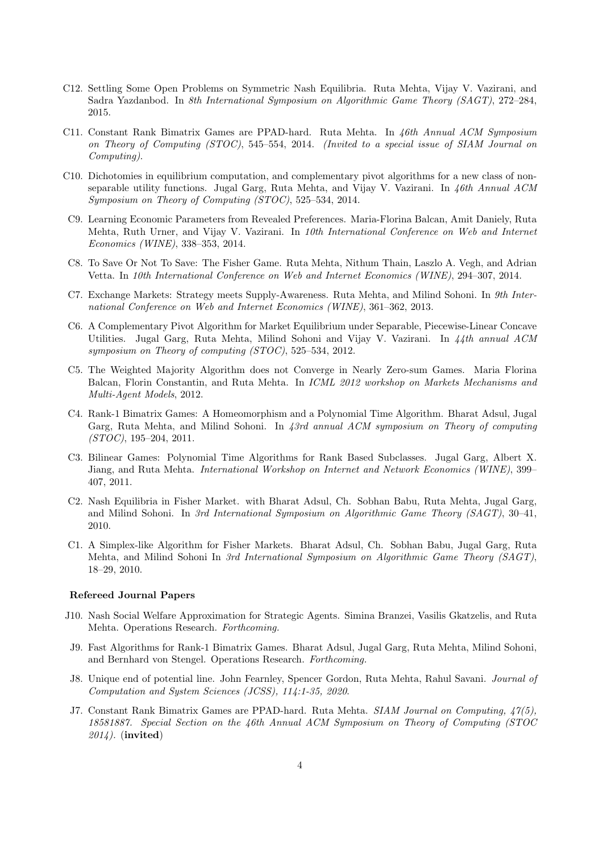- C12. Settling Some Open Problems on Symmetric Nash Equilibria. Ruta Mehta, Vijay V. Vazirani, and Sadra Yazdanbod. In 8th International Symposium on Algorithmic Game Theory (SAGT), 272–284, 2015.
- C11. Constant Rank Bimatrix Games are PPAD-hard. Ruta Mehta. In 46th Annual ACM Symposium on Theory of Computing (STOC), 545–554, 2014. (Invited to a special issue of SIAM Journal on Computing).
- C10. Dichotomies in equilibrium computation, and complementary pivot algorithms for a new class of nonseparable utility functions. Jugal Garg, Ruta Mehta, and Vijay V. Vazirani. In 46th Annual ACM Symposium on Theory of Computing (STOC), 525–534, 2014.
- C9. Learning Economic Parameters from Revealed Preferences. Maria-Florina Balcan, Amit Daniely, Ruta Mehta, Ruth Urner, and Vijay V. Vazirani. In 10th International Conference on Web and Internet Economics (WINE), 338–353, 2014.
- C8. To Save Or Not To Save: The Fisher Game. Ruta Mehta, Nithum Thain, Laszlo A. Vegh, and Adrian Vetta. In 10th International Conference on Web and Internet Economics (WINE), 294–307, 2014.
- C7. Exchange Markets: Strategy meets Supply-Awareness. Ruta Mehta, and Milind Sohoni. In 9th International Conference on Web and Internet Economics (WINE), 361–362, 2013.
- C6. A Complementary Pivot Algorithm for Market Equilibrium under Separable, Piecewise-Linear Concave Utilities. Jugal Garg, Ruta Mehta, Milind Sohoni and Vijay V. Vazirani. In 44th annual ACM symposium on Theory of computing (STOC), 525–534, 2012.
- C5. The Weighted Majority Algorithm does not Converge in Nearly Zero-sum Games. Maria Florina Balcan, Florin Constantin, and Ruta Mehta. In ICML 2012 workshop on Markets Mechanisms and Multi-Agent Models, 2012.
- C4. Rank-1 Bimatrix Games: A Homeomorphism and a Polynomial Time Algorithm. Bharat Adsul, Jugal Garg, Ruta Mehta, and Milind Sohoni. In 43rd annual ACM symposium on Theory of computing (STOC), 195–204, 2011.
- C3. Bilinear Games: Polynomial Time Algorithms for Rank Based Subclasses. Jugal Garg, Albert X. Jiang, and Ruta Mehta. International Workshop on Internet and Network Economics (WINE), 399– 407, 2011.
- C2. Nash Equilibria in Fisher Market. with Bharat Adsul, Ch. Sobhan Babu, Ruta Mehta, Jugal Garg, and Milind Sohoni. In 3rd International Symposium on Algorithmic Game Theory (SAGT), 30–41, 2010.
- C1. A Simplex-like Algorithm for Fisher Markets. Bharat Adsul, Ch. Sobhan Babu, Jugal Garg, Ruta Mehta, and Milind Sohoni In 3rd International Symposium on Algorithmic Game Theory (SAGT), 18–29, 2010.

#### Refereed Journal Papers

- J10. Nash Social Welfare Approximation for Strategic Agents. Simina Branzei, Vasilis Gkatzelis, and Ruta Mehta. Operations Research. Forthcoming.
- J9. Fast Algorithms for Rank-1 Bimatrix Games. Bharat Adsul, Jugal Garg, Ruta Mehta, Milind Sohoni, and Bernhard von Stengel. Operations Research. Forthcoming.
- J8. Unique end of potential line. John Fearnley, Spencer Gordon, Ruta Mehta, Rahul Savani. Journal of Computation and System Sciences (JCSS), 114:1-35, 2020.
- J7. Constant Rank Bimatrix Games are PPAD-hard. Ruta Mehta. SIAM Journal on Computing, 47(5). 18581887. Special Section on the 46th Annual ACM Symposium on Theory of Computing (STOC 2014). (invited)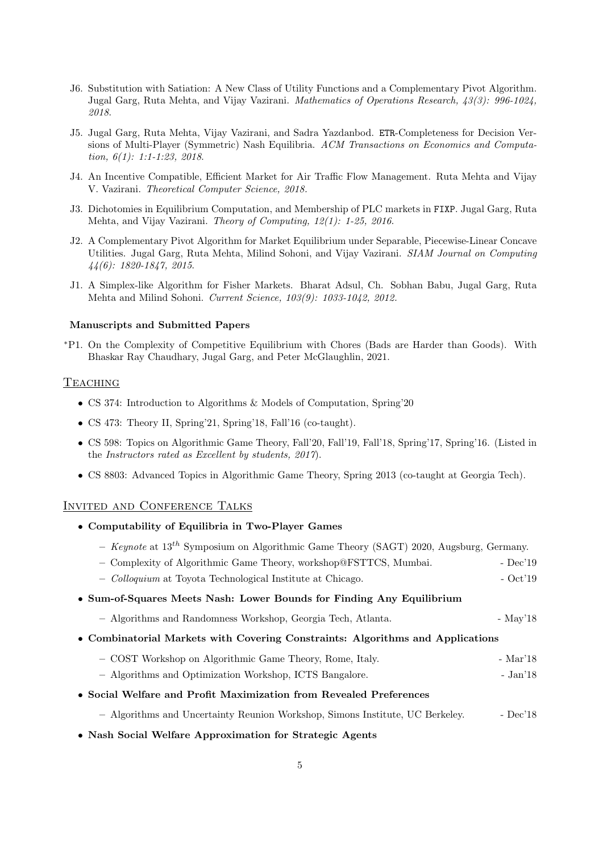- J6. Substitution with Satiation: A New Class of Utility Functions and a Complementary Pivot Algorithm. Jugal Garg, Ruta Mehta, and Vijay Vazirani. Mathematics of Operations Research, 43(3): 996-1024, 2018.
- J5. Jugal Garg, Ruta Mehta, Vijay Vazirani, and Sadra Yazdanbod. ETR-Completeness for Decision Versions of Multi-Player (Symmetric) Nash Equilibria. ACM Transactions on Economics and Computation, 6(1): 1:1-1:23, 2018.
- J4. An Incentive Compatible, Efficient Market for Air Traffic Flow Management. Ruta Mehta and Vijay V. Vazirani. Theoretical Computer Science, 2018.
- J3. Dichotomies in Equilibrium Computation, and Membership of PLC markets in FIXP. Jugal Garg, Ruta Mehta, and Vijay Vazirani. Theory of Computing, 12(1): 1-25, 2016.
- J2. A Complementary Pivot Algorithm for Market Equilibrium under Separable, Piecewise-Linear Concave Utilities. Jugal Garg, Ruta Mehta, Milind Sohoni, and Vijay Vazirani. SIAM Journal on Computing 44(6): 1820-1847, 2015.
- J1. A Simplex-like Algorithm for Fisher Markets. Bharat Adsul, Ch. Sobhan Babu, Jugal Garg, Ruta Mehta and Milind Sohoni. Current Science, 103(9): 1033-1042, 2012.

#### Manuscripts and Submitted Papers

<sup>∗</sup>P1. On the Complexity of Competitive Equilibrium with Chores (Bads are Harder than Goods). With Bhaskar Ray Chaudhary, Jugal Garg, and Peter McGlaughlin, 2021.

#### **TEACHING**

- CS 374: Introduction to Algorithms & Models of Computation, Spring'20
- CS 473: Theory II, Spring'21, Spring'18, Fall'16 (co-taught).
- CS 598: Topics on Algorithmic Game Theory, Fall'20, Fall'19, Fall'18, Spring'17, Spring'16. (Listed in the Instructors rated as Excellent by students, 2017).
- CS 8803: Advanced Topics in Algorithmic Game Theory, Spring 2013 (co-taught at Georgia Tech).

#### Invited and Conference Talks

- Computability of Equilibria in Two-Player Games
	- Keynote at  $13^{th}$  Symposium on Algorithmic Game Theory (SAGT) 2020, Augsburg, Germany.
	- Complexity of Algorithmic Game Theory, workshop@FSTTCS, Mumbai. Dec'19
	- Colloquium at Toyota Technological Institute at Chicago. Oct'19
- Sum-of-Squares Meets Nash: Lower Bounds for Finding Any Equilibrium
	- Algorithms and Randomness Workshop, Georgia Tech, Atlanta. May'18
- Combinatorial Markets with Covering Constraints: Algorithms and Applications
	- COST Workshop on Algorithmic Game Theory, Rome, Italy. Mar'18
	- Algorithms and Optimization Workshop, ICTS Bangalore. Jan'18
- Social Welfare and Profit Maximization from Revealed Preferences
	- Algorithms and Uncertainty Reunion Workshop, Simons Institute, UC Berkeley. Dec'18
- Nash Social Welfare Approximation for Strategic Agents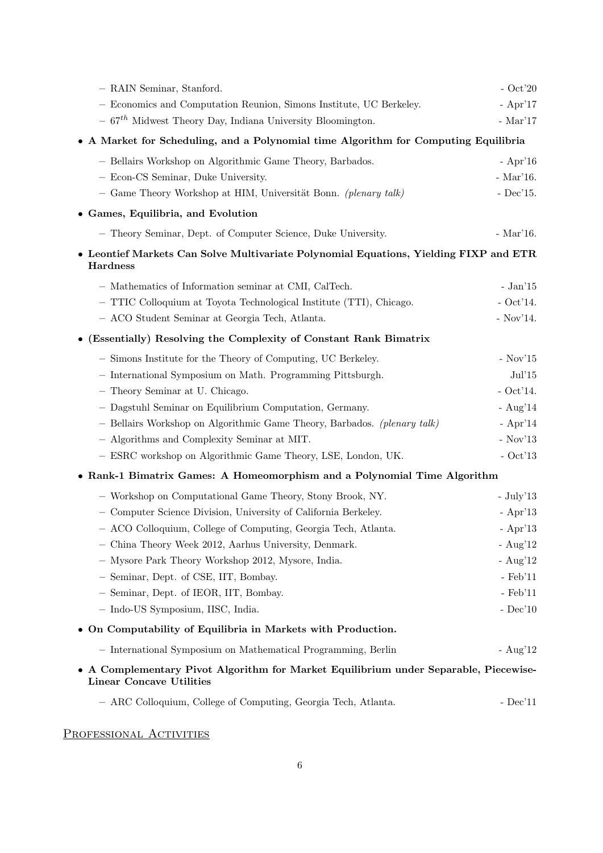| - RAIN Seminar, Stanford.                                                                                        | $-$ Oct'20       |
|------------------------------------------------------------------------------------------------------------------|------------------|
| - Economics and Computation Reunion, Simons Institute, UC Berkeley.                                              | - Apr'17         |
| $-$ 67 <sup>th</sup> Midwest Theory Day, Indiana University Bloomington.                                         | - Mar'17         |
| • A Market for Scheduling, and a Polynomial time Algorithm for Computing Equilibria                              |                  |
| - Bellairs Workshop on Algorithmic Game Theory, Barbados.                                                        | $-$ Apr'16       |
| - Econ-CS Seminar, Duke University.                                                                              | - Mar'16.        |
| - Game Theory Workshop at HIM, Universität Bonn. (plenary talk)                                                  | - $Dec'15$ .     |
| • Games, Equilibria, and Evolution                                                                               |                  |
| - Theory Seminar, Dept. of Computer Science, Duke University.                                                    | $-Mar'16.$       |
| • Leontief Markets Can Solve Multivariate Polynomial Equations, Yielding FIXP and ETR<br>Hardness                |                  |
| - Mathematics of Information seminar at CMI, CalTech.                                                            | - Jan'15         |
| - TTIC Colloquium at Toyota Technological Institute (TTI), Chicago.                                              | $-$ Oct'14.      |
| - ACO Student Seminar at Georgia Tech, Atlanta.                                                                  | $-$ Nov'14.      |
| • (Essentially) Resolving the Complexity of Constant Rank Bimatrix                                               |                  |
| - Simons Institute for the Theory of Computing, UC Berkeley.                                                     | - Nov' $15$      |
| - International Symposium on Math. Programming Pittsburgh.                                                       | Jul'15           |
| - Theory Seminar at U. Chicago.                                                                                  | $-$ Oct'14.      |
| - Dagstuhl Seminar on Equilibrium Computation, Germany.                                                          | - $Aug'14$       |
| - Bellairs Workshop on Algorithmic Game Theory, Barbados. (plenary talk)                                         | $-$ Apr'14       |
| - Algorithms and Complexity Seminar at MIT.                                                                      | - ${\rm Nov'13}$ |
| - ESRC workshop on Algorithmic Game Theory, LSE, London, UK.                                                     | $-$ Oct'13       |
| • Rank-1 Bimatrix Games: A Homeomorphism and a Polynomial Time Algorithm                                         |                  |
| - Workshop on Computational Game Theory, Stony Brook, NY.                                                        | $-$ July'13      |
| - Computer Science Division, University of California Berkeley.                                                  | $-$ Apr'13       |
| - ACO Colloquium, College of Computing, Georgia Tech, Atlanta.                                                   | $-$ Apr'13       |
| - China Theory Week 2012, Aarhus University, Denmark.                                                            | $- Aug'12$       |
| - Mysore Park Theory Workshop 2012, Mysore, India.                                                               | - Aug' $12$      |
| - Seminar, Dept. of CSE, IIT, Bombay.                                                                            | $-$ Feb $'11$    |
| - Seminar, Dept. of IEOR, IIT, Bombay.                                                                           | $-$ Feb $11$     |
| - Indo-US Symposium, IISC, India.                                                                                | $-$ Dec $10$     |
| • On Computability of Equilibria in Markets with Production.                                                     |                  |
| - International Symposium on Mathematical Programming, Berlin                                                    | - $Aug'12$       |
| • A Complementary Pivot Algorithm for Market Equilibrium under Separable, Piecewise-<br>Linear Concave Utilities |                  |
| - ARC Colloquium, College of Computing, Georgia Tech, Atlanta.                                                   | $-$ Dec $'11$    |

PROFESSIONAL ACTIVITIES